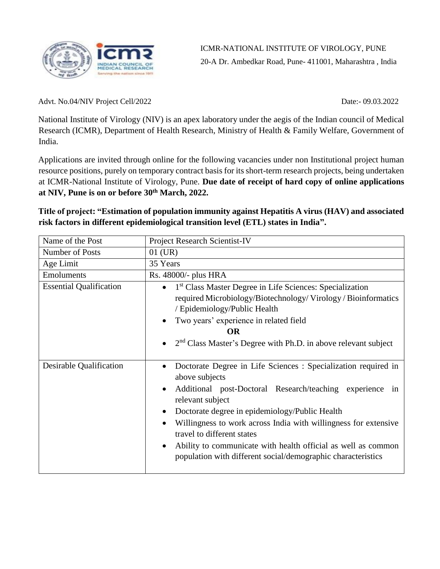

Advt. No.04/NIV Project Cell/2022 Date:- 09.03.2022

National Institute of Virology (NIV) is an apex laboratory under the aegis of the Indian council of Medical Research (ICMR), Department of Health Research, Ministry of Health & Family Welfare, Government of India.

Applications are invited through online for the following vacancies under non Institutional project human resource positions, purely on temporary contract basis for its short-term research projects, being undertaken at ICMR-National Institute of Virology, Pune. **Due date of receipt of hard copy of online applications at NIV, Pune is on or before 30th March, 2022.**

**Title of project: "Estimation of population immunity against Hepatitis A virus (HAV) and associated risk factors in different epidemiological transition level (ETL) states in India".** 

| Name of the Post               | Project Research Scientist-IV                                                                                                                                                                                                                                                                                                                                                                                                                        |
|--------------------------------|------------------------------------------------------------------------------------------------------------------------------------------------------------------------------------------------------------------------------------------------------------------------------------------------------------------------------------------------------------------------------------------------------------------------------------------------------|
| Number of Posts                | $01$ (UR)                                                                                                                                                                                                                                                                                                                                                                                                                                            |
| Age Limit                      | 35 Years                                                                                                                                                                                                                                                                                                                                                                                                                                             |
| Emoluments                     | Rs. 48000/- plus HRA                                                                                                                                                                                                                                                                                                                                                                                                                                 |
| <b>Essential Qualification</b> | <sup>1st</sup> Class Master Degree in Life Sciences: Specialization<br>$\bullet$<br>required Microbiology/Biotechnology/Virology/Bioinformatics<br>/ Epidemiology/Public Health<br>Two years' experience in related field<br><b>OR</b><br>2 <sup>nd</sup> Class Master's Degree with Ph.D. in above relevant subject                                                                                                                                 |
| Desirable Qualification        | Doctorate Degree in Life Sciences : Specialization required in<br>above subjects<br>Additional post-Doctoral Research/teaching experience in<br>relevant subject<br>Doctorate degree in epidemiology/Public Health<br>Willingness to work across India with willingness for extensive<br>travel to different states<br>Ability to communicate with health official as well as common<br>population with different social/demographic characteristics |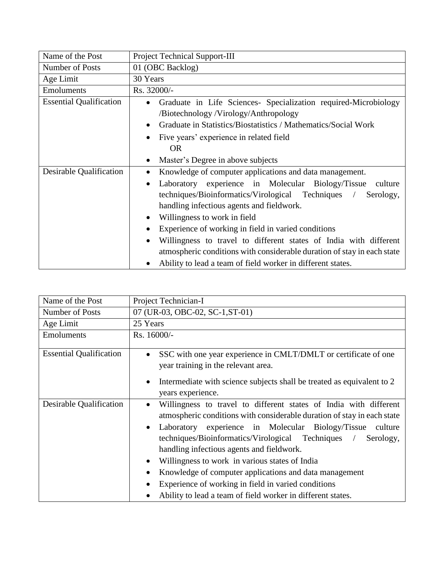| Name of the Post               | Project Technical Support-III                                                                                                                                                                                                                                                                                                                                                                                                                                                                                                                                                        |
|--------------------------------|--------------------------------------------------------------------------------------------------------------------------------------------------------------------------------------------------------------------------------------------------------------------------------------------------------------------------------------------------------------------------------------------------------------------------------------------------------------------------------------------------------------------------------------------------------------------------------------|
| Number of Posts                | 01 (OBC Backlog)                                                                                                                                                                                                                                                                                                                                                                                                                                                                                                                                                                     |
| Age Limit                      | 30 Years                                                                                                                                                                                                                                                                                                                                                                                                                                                                                                                                                                             |
| <b>Emoluments</b>              | Rs. 32000/-                                                                                                                                                                                                                                                                                                                                                                                                                                                                                                                                                                          |
| <b>Essential Qualification</b> | Graduate in Life Sciences- Specialization required-Microbiology<br>$\bullet$<br>/Biotechnology/Virology/Anthropology<br>Graduate in Statistics/Biostatistics / Mathematics/Social Work<br>$\bullet$<br>Five years' experience in related field<br><b>OR</b>                                                                                                                                                                                                                                                                                                                          |
|                                | Master's Degree in above subjects<br>٠                                                                                                                                                                                                                                                                                                                                                                                                                                                                                                                                               |
| Desirable Qualification        | Knowledge of computer applications and data management.<br>$\bullet$<br>Laboratory experience in Molecular Biology/Tissue<br>culture<br>$\bullet$<br>techniques/Bioinformatics/Virological Techniques /<br>Serology,<br>handling infectious agents and fieldwork.<br>Willingness to work in field<br>Experience of working in field in varied conditions<br>Willingness to travel to different states of India with different<br>$\bullet$<br>atmospheric conditions with considerable duration of stay in each state<br>Ability to lead a team of field worker in different states. |

| Name of the Post               | Project Technician-I                                                                                                                                                                                                                                                                                                                                                                                                                                                                                                                                                                                                |
|--------------------------------|---------------------------------------------------------------------------------------------------------------------------------------------------------------------------------------------------------------------------------------------------------------------------------------------------------------------------------------------------------------------------------------------------------------------------------------------------------------------------------------------------------------------------------------------------------------------------------------------------------------------|
| Number of Posts                | 07 (UR-03, OBC-02, SC-1, ST-01)                                                                                                                                                                                                                                                                                                                                                                                                                                                                                                                                                                                     |
| Age Limit                      | 25 Years                                                                                                                                                                                                                                                                                                                                                                                                                                                                                                                                                                                                            |
| Emoluments                     | Rs. 16000/-                                                                                                                                                                                                                                                                                                                                                                                                                                                                                                                                                                                                         |
| <b>Essential Qualification</b> | SSC with one year experience in CMLT/DMLT or certificate of one<br>$\bullet$<br>year training in the relevant area.<br>Intermediate with science subjects shall be treated as equivalent to 2<br>$\bullet$<br>years experience.                                                                                                                                                                                                                                                                                                                                                                                     |
| Desirable Qualification        | Willingness to travel to different states of India with different<br>$\bullet$<br>atmospheric conditions with considerable duration of stay in each state<br>Laboratory experience in Molecular Biology/Tissue culture<br>$\bullet$<br>techniques/Bioinformatics/Virological Techniques<br>Serology,<br>$\sqrt{2}$<br>handling infectious agents and fieldwork.<br>Willingness to work in various states of India<br>٠<br>Knowledge of computer applications and data management<br>$\bullet$<br>Experience of working in field in varied conditions<br>Ability to lead a team of field worker in different states. |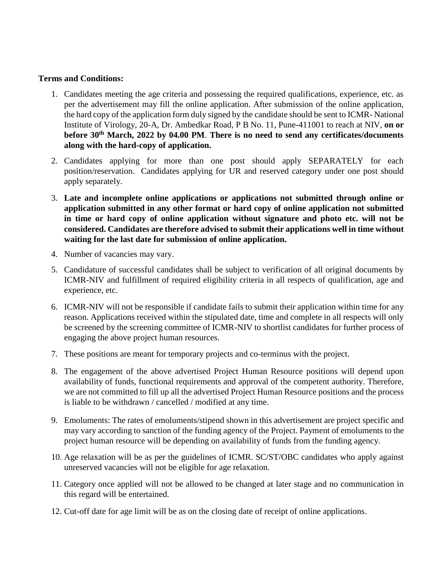## **Terms and Conditions:**

- 1. Candidates meeting the age criteria and possessing the required qualifications, experience, etc. as per the advertisement may fill the online application. After submission of the online application, the hard copy of the application form duly signed by the candidate should be sent to ICMR- National Institute of Virology, 20-A, Dr. Ambedkar Road, P B No. 11, Pune-411001 to reach at NIV, **on or before 30th March, 2022 by 04.00 PM**. **There is no need to send any certificates/documents along with the hard-copy of application.**
- 2. Candidates applying for more than one post should apply SEPARATELY for each position/reservation. Candidates applying for UR and reserved category under one post should apply separately.
- 3. **Late and incomplete online applications or applications not submitted through online or application submitted in any other format or hard copy of online application not submitted in time or hard copy of online application without signature and photo etc. will not be considered. Candidates are therefore advised to submit their applications well in time without waiting for the last date for submission of online application.**
- 4. Number of vacancies may vary.
- 5. Candidature of successful candidates shall be subject to verification of all original documents by ICMR-NIV and fulfillment of required eligibility criteria in all respects of qualification, age and experience, etc.
- 6. ICMR-NIV will not be responsible if candidate fails to submit their application within time for any reason. Applications received within the stipulated date, time and complete in all respects will only be screened by the screening committee of ICMR-NIV to shortlist candidates for further process of engaging the above project human resources.
- 7. These positions are meant for temporary projects and co-terminus with the project.
- 8. The engagement of the above advertised Project Human Resource positions will depend upon availability of funds, functional requirements and approval of the competent authority. Therefore, we are not committed to fill up all the advertised Project Human Resource positions and the process is liable to be withdrawn / cancelled / modified at any time.
- 9. Emoluments: The rates of emoluments/stipend shown in this advertisement are project specific and may vary according to sanction of the funding agency of the Project. Payment of emoluments to the project human resource will be depending on availability of funds from the funding agency.
- 10. Age relaxation will be as per the guidelines of ICMR. SC/ST/OBC candidates who apply against unreserved vacancies will not be eligible for age relaxation.
- 11. Category once applied will not be allowed to be changed at later stage and no communication in this regard will be entertained.
- 12. Cut-off date for age limit will be as on the closing date of receipt of online applications.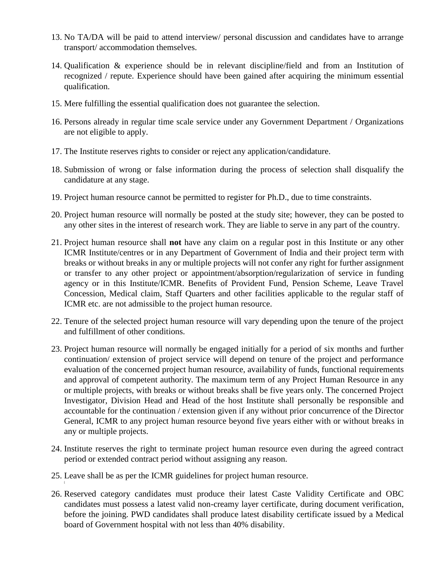- 13. No TA/DA will be paid to attend interview/ personal discussion and candidates have to arrange transport/ accommodation themselves.
- 14. Qualification & experience should be in relevant discipline/field and from an Institution of recognized / repute. Experience should have been gained after acquiring the minimum essential qualification.
- 15. Mere fulfilling the essential qualification does not guarantee the selection.
- 16. Persons already in regular time scale service under any Government Department / Organizations are not eligible to apply.
- 17. The Institute reserves rights to consider or reject any application/candidature.
- 18. Submission of wrong or false information during the process of selection shall disqualify the candidature at any stage.
- 19. Project human resource cannot be permitted to register for Ph.D., due to time constraints.
- 20. Project human resource will normally be posted at the study site; however, they can be posted to any other sites in the interest of research work. They are liable to serve in any part of the country.
- 21. Project human resource shall **not** have any claim on a regular post in this Institute or any other ICMR Institute/centres or in any Department of Government of India and their project term with breaks or without breaks in any or multiple projects will not confer any right for further assignment or transfer to any other project or appointment/absorption/regularization of service in funding agency or in this Institute/ICMR. Benefits of Provident Fund, Pension Scheme, Leave Travel Concession, Medical claim, Staff Quarters and other facilities applicable to the regular staff of ICMR etc. are not admissible to the project human resource.
- 22. Tenure of the selected project human resource will vary depending upon the tenure of the project and fulfillment of other conditions.
- 23. Project human resource will normally be engaged initially for a period of six months and further continuation/ extension of project service will depend on tenure of the project and performance evaluation of the concerned project human resource, availability of funds, functional requirements and approval of competent authority. The maximum term of any Project Human Resource in any or multiple projects, with breaks or without breaks shall be five years only. The concerned Project Investigator, Division Head and Head of the host Institute shall personally be responsible and accountable for the continuation / extension given if any without prior concurrence of the Director General, ICMR to any project human resource beyond five years either with or without breaks in any or multiple projects.
- 24. Institute reserves the right to terminate project human resource even during the agreed contract period or extended contract period without assigning any reason.
- 25. Leave shall be as per the ICMR guidelines for project human resource.
- 26. Reserved category candidates must produce their latest Caste Validity Certificate and OBC candidates must possess a latest valid non-creamy layer certificate, during document verification, before the joining. PWD candidates shall produce latest disability certificate issued by a Medical board of Government hospital with not less than 40% disability.